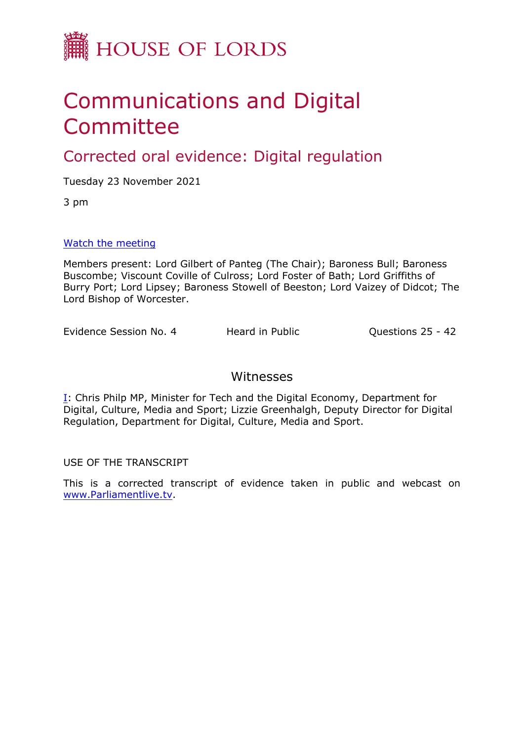

# Communications and Digital **Committee**

Corrected oral evidence: Digital regulation

Tuesday 23 November 2021

3 pm

# [Watch](https://parliamentlive.tv/event/index/9a6da2bb-ac08-413c-94c1-485d3953cfff) [the](https://parliamentlive.tv/event/index/9a6da2bb-ac08-413c-94c1-485d3953cfff) [meeting](https://parliamentlive.tv/event/index/9a6da2bb-ac08-413c-94c1-485d3953cfff)

Members present: Lord Gilbert of Panteg (The Chair); Baroness Bull; Baroness Buscombe; Viscount Coville of Culross; Lord Foster of Bath; Lord Griffiths of Burry Port; Lord Lipsey; Baroness Stowell of Beeston; Lord Vaizey of Didcot; The Lord Bishop of Worcester.

Evidence Session No. 4 Heard in Public **Questions 25 - 42** 

# Witnesses

[I:](#page-1-0) Chris Philp MP, Minister for Tech and the Digital Economy, Department for Digital, Culture, Media and Sport; Lizzie Greenhalgh, Deputy Director for Digital Regulation, Department for Digital, Culture, Media and Sport.

USE OF THE TRANSCRIPT

This is a corrected transcript of evidence taken in public and webcast on [www.Parliamentlive.tv.](http://www.parliamentlive.tv/)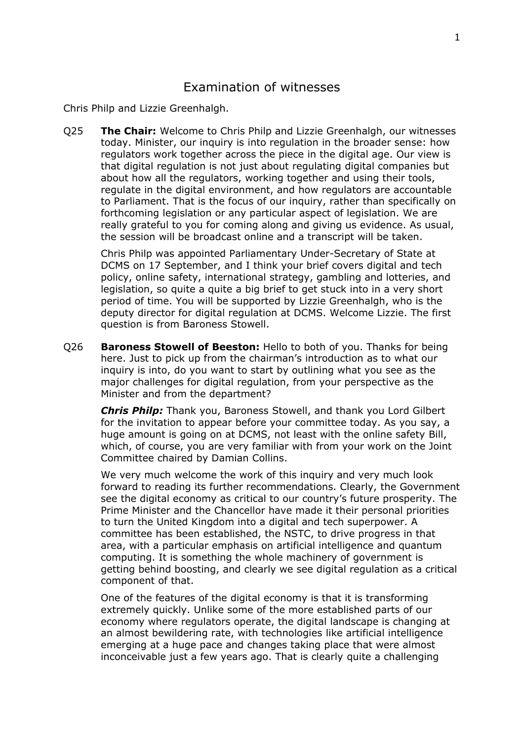<span id="page-1-0"></span>Chris Philp and Lizzie Greenhalgh.

Q25 **The Chair:** Welcome to Chris Philp and Lizzie Greenhalgh, our witnesses today. Minister, our inquiry is into regulation in the broader sense: how regulators work together across the piece in the digital age. Our view is that digital regulation is not just about regulating digital companies but about how all the regulators, working together and using their tools, regulate in the digital environment, and how regulators are accountable to Parliament. That is the focus of our inquiry, rather than specifically on forthcoming legislation or any particular aspect of legislation. We are really grateful to you for coming along and giving us evidence. As usual, the session will be broadcast online and a transcript will be taken.

Chris Philp was appointed Parliamentary Under-Secretary of State at DCMS on 17 September, and I think your brief covers digital and tech policy, online safety, international strategy, gambling and lotteries, and legislation, so quite a quite a big brief to get stuck into in a very short period of time. You will be supported by Lizzie Greenhalgh, who is the deputy director for digital regulation at DCMS. Welcome Lizzie. The first question is from Baroness Stowell.

Q26 **Baroness Stowell of Beeston:** Hello to both of you. Thanks for being here. Just to pick up from the chairman's introduction as to what our inquiry is into, do you want to start by outlining what you see as the major challenges for digital regulation, from your perspective as the Minister and from the department?

*Chris Philp:* Thank you, Baroness Stowell, and thank you Lord Gilbert for the invitation to appear before your committee today. As you say, a huge amount is going on at DCMS, not least with the online safety Bill, which, of course, you are very familiar with from your work on the Joint Committee chaired by Damian Collins.

We very much welcome the work of this inquiry and very much look forward to reading its further recommendations. Clearly, the Government see the digital economy as critical to our country's future prosperity. The Prime Minister and the Chancellor have made it their personal priorities to turn the United Kingdom into a digital and tech superpower. A committee has been established, the NSTC, to drive progress in that area, with a particular emphasis on artificial intelligence and quantum computing. It is something the whole machinery of government is getting behind boosting, and clearly we see digital regulation as a critical component of that.

One of the features of the digital economy is that it is transforming extremely quickly. Unlike some of the more established parts of our economy where regulators operate, the digital landscape is changing at an almost bewildering rate, with technologies like artificial intelligence emerging at a huge pace and changes taking place that were almost inconceivable just a few years ago. That is clearly quite a challenging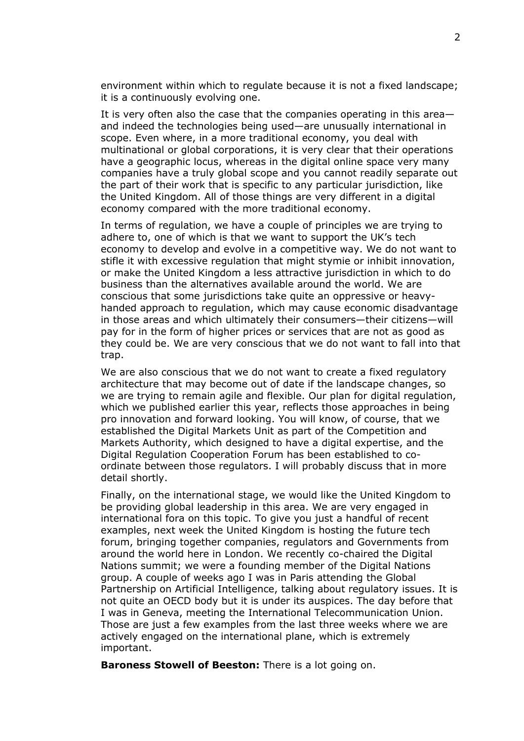environment within which to regulate because it is not a fixed landscape; it is a continuously evolving one.

It is very often also the case that the companies operating in this area and indeed the technologies being used—are unusually international in scope. Even where, in a more traditional economy, you deal with multinational or global corporations, it is very clear that their operations have a geographic locus, whereas in the digital online space very many companies have a truly global scope and you cannot readily separate out the part of their work that is specific to any particular jurisdiction, like the United Kingdom. All of those things are very different in a digital economy compared with the more traditional economy.

In terms of regulation, we have a couple of principles we are trying to adhere to, one of which is that we want to support the UK's tech economy to develop and evolve in a competitive way. We do not want to stifle it with excessive regulation that might stymie or inhibit innovation, or make the United Kingdom a less attractive jurisdiction in which to do business than the alternatives available around the world. We are conscious that some jurisdictions take quite an oppressive or heavyhanded approach to regulation, which may cause economic disadvantage in those areas and which ultimately their consumers—their citizens—will pay for in the form of higher prices or services that are not as good as they could be. We are very conscious that we do not want to fall into that trap.

We are also conscious that we do not want to create a fixed regulatory architecture that may become out of date if the landscape changes, so we are trying to remain agile and flexible. Our plan for digital regulation, which we published earlier this year, reflects those approaches in being pro innovation and forward looking. You will know, of course, that we established the Digital Markets Unit as part of the Competition and Markets Authority, which designed to have a digital expertise, and the Digital Regulation Cooperation Forum has been established to coordinate between those regulators. I will probably discuss that in more detail shortly.

Finally, on the international stage, we would like the United Kingdom to be providing global leadership in this area. We are very engaged in international fora on this topic. To give you just a handful of recent examples, next week the United Kingdom is hosting the future tech forum, bringing together companies, regulators and Governments from around the world here in London. We recently co-chaired the Digital Nations summit; we were a founding member of the Digital Nations group. A couple of weeks ago I was in Paris attending the Global Partnership on Artificial Intelligence, talking about regulatory issues. It is not quite an OECD body but it is under its auspices. The day before that I was in Geneva, meeting the International Telecommunication Union. Those are just a few examples from the last three weeks where we are actively engaged on the international plane, which is extremely important.

**Baroness Stowell of Beeston:** There is a lot going on.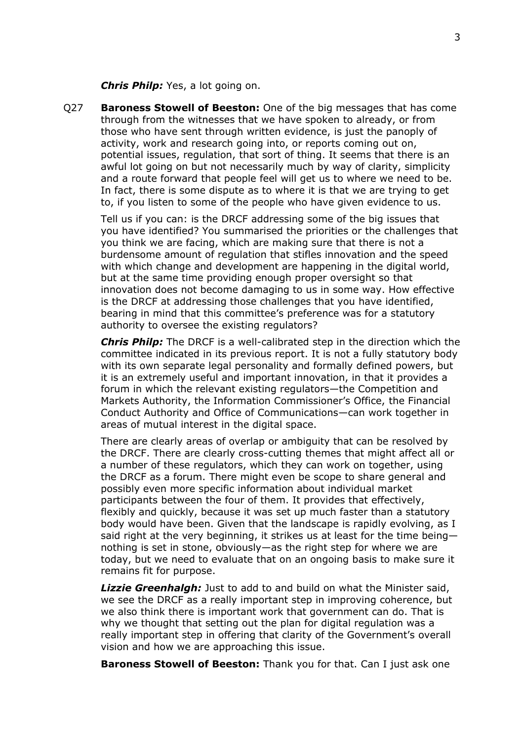*Chris Philp:* Yes, a lot going on.

Q27 **Baroness Stowell of Beeston:** One of the big messages that has come through from the witnesses that we have spoken to already, or from those who have sent through written evidence, is just the panoply of activity, work and research going into, or reports coming out on, potential issues, regulation, that sort of thing. It seems that there is an awful lot going on but not necessarily much by way of clarity, simplicity and a route forward that people feel will get us to where we need to be. In fact, there is some dispute as to where it is that we are trying to get to, if you listen to some of the people who have given evidence to us.

Tell us if you can: is the DRCF addressing some of the big issues that you have identified? You summarised the priorities or the challenges that you think we are facing, which are making sure that there is not a burdensome amount of regulation that stifles innovation and the speed with which change and development are happening in the digital world, but at the same time providing enough proper oversight so that innovation does not become damaging to us in some way. How effective is the DRCF at addressing those challenges that you have identified, bearing in mind that this committee's preference was for a statutory authority to oversee the existing regulators?

*Chris Philp:* The DRCF is a well-calibrated step in the direction which the committee indicated in its previous report. It is not a fully statutory body with its own separate legal personality and formally defined powers, but it is an extremely useful and important innovation, in that it provides a forum in which the relevant existing regulators—the Competition and Markets Authority, the Information Commissioner's Office, the Financial Conduct Authority and Office of Communications—can work together in areas of mutual interest in the digital space.

There are clearly areas of overlap or ambiguity that can be resolved by the DRCF. There are clearly cross-cutting themes that might affect all or a number of these regulators, which they can work on together, using the DRCF as a forum. There might even be scope to share general and possibly even more specific information about individual market participants between the four of them. It provides that effectively, flexibly and quickly, because it was set up much faster than a statutory body would have been. Given that the landscape is rapidly evolving, as I said right at the very beginning, it strikes us at least for the time being nothing is set in stone, obviously—as the right step for where we are today, but we need to evaluate that on an ongoing basis to make sure it remains fit for purpose.

*Lizzie Greenhalgh:* Just to add to and build on what the Minister said, we see the DRCF as a really important step in improving coherence, but we also think there is important work that government can do. That is why we thought that setting out the plan for digital regulation was a really important step in offering that clarity of the Government's overall vision and how we are approaching this issue.

**Baroness Stowell of Beeston:** Thank you for that. Can I just ask one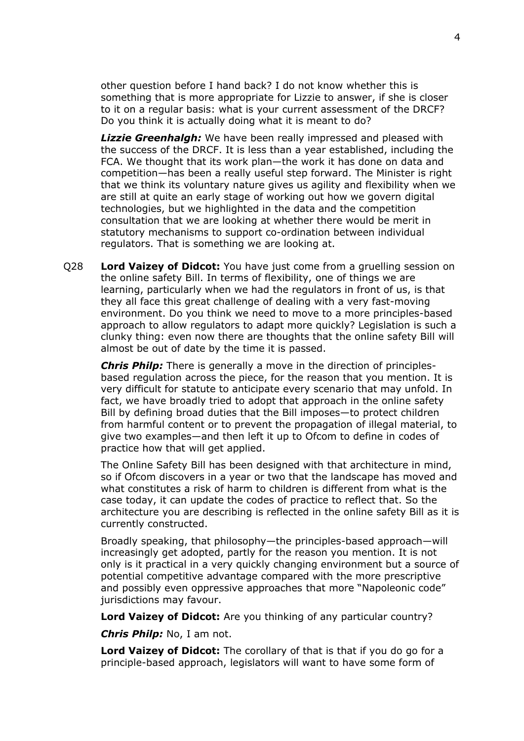other question before I hand back? I do not know whether this is something that is more appropriate for Lizzie to answer, if she is closer to it on a regular basis: what is your current assessment of the DRCF? Do you think it is actually doing what it is meant to do?

*Lizzie Greenhalgh:* We have been really impressed and pleased with the success of the DRCF. It is less than a year established, including the FCA. We thought that its work plan—the work it has done on data and competition—has been a really useful step forward. The Minister is right that we think its voluntary nature gives us agility and flexibility when we are still at quite an early stage of working out how we govern digital technologies, but we highlighted in the data and the competition consultation that we are looking at whether there would be merit in statutory mechanisms to support co-ordination between individual regulators. That is something we are looking at.

Q28 **Lord Vaizey of Didcot:** You have just come from a gruelling session on the online safety Bill. In terms of flexibility, one of things we are learning, particularly when we had the regulators in front of us, is that they all face this great challenge of dealing with a very fast-moving environment. Do you think we need to move to a more principles-based approach to allow regulators to adapt more quickly? Legislation is such a clunky thing: even now there are thoughts that the online safety Bill will almost be out of date by the time it is passed.

*Chris Philp:* There is generally a move in the direction of principlesbased regulation across the piece, for the reason that you mention. It is very difficult for statute to anticipate every scenario that may unfold. In fact, we have broadly tried to adopt that approach in the online safety Bill by defining broad duties that the Bill imposes—to protect children from harmful content or to prevent the propagation of illegal material, to give two examples—and then left it up to Ofcom to define in codes of practice how that will get applied.

The Online Safety Bill has been designed with that architecture in mind, so if Ofcom discovers in a year or two that the landscape has moved and what constitutes a risk of harm to children is different from what is the case today, it can update the codes of practice to reflect that. So the architecture you are describing is reflected in the online safety Bill as it is currently constructed.

Broadly speaking, that philosophy—the principles-based approach—will increasingly get adopted, partly for the reason you mention. It is not only is it practical in a very quickly changing environment but a source of potential competitive advantage compared with the more prescriptive and possibly even oppressive approaches that more "Napoleonic code" jurisdictions may favour.

**Lord Vaizey of Didcot:** Are you thinking of any particular country?

*Chris Philp:* No, I am not.

**Lord Vaizey of Didcot:** The corollary of that is that if you do go for a principle-based approach, legislators will want to have some form of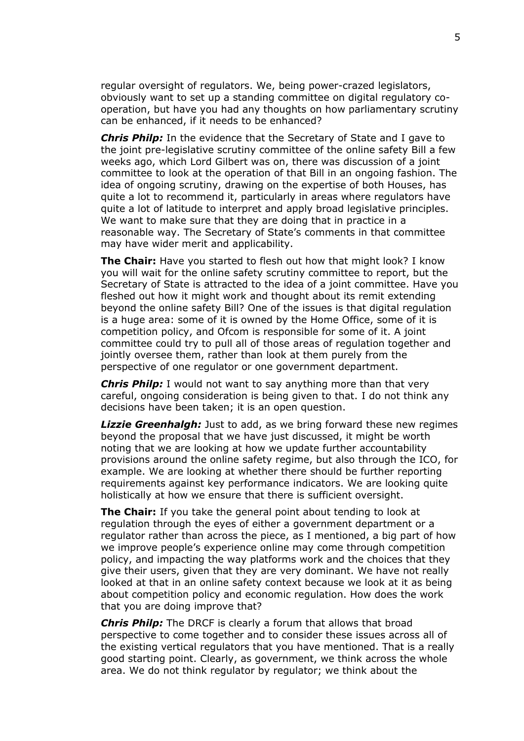regular oversight of regulators. We, being power-crazed legislators, obviously want to set up a standing committee on digital regulatory cooperation, but have you had any thoughts on how parliamentary scrutiny can be enhanced, if it needs to be enhanced?

*Chris Philp:* In the evidence that the Secretary of State and I gave to the joint pre-legislative scrutiny committee of the online safety Bill a few weeks ago, which Lord Gilbert was on, there was discussion of a joint committee to look at the operation of that Bill in an ongoing fashion. The idea of ongoing scrutiny, drawing on the expertise of both Houses, has quite a lot to recommend it, particularly in areas where regulators have quite a lot of latitude to interpret and apply broad legislative principles. We want to make sure that they are doing that in practice in a reasonable way. The Secretary of State's comments in that committee may have wider merit and applicability.

**The Chair:** Have you started to flesh out how that might look? I know you will wait for the online safety scrutiny committee to report, but the Secretary of State is attracted to the idea of a joint committee. Have you fleshed out how it might work and thought about its remit extending beyond the online safety Bill? One of the issues is that digital regulation is a huge area: some of it is owned by the Home Office, some of it is competition policy, and Ofcom is responsible for some of it. A joint committee could try to pull all of those areas of regulation together and jointly oversee them, rather than look at them purely from the perspective of one regulator or one government department.

*Chris Philp:* I would not want to say anything more than that very careful, ongoing consideration is being given to that. I do not think any decisions have been taken; it is an open question.

*Lizzie Greenhalgh:* Just to add, as we bring forward these new regimes beyond the proposal that we have just discussed, it might be worth noting that we are looking at how we update further accountability provisions around the online safety regime, but also through the ICO, for example. We are looking at whether there should be further reporting requirements against key performance indicators. We are looking quite holistically at how we ensure that there is sufficient oversight.

**The Chair:** If you take the general point about tending to look at regulation through the eyes of either a government department or a regulator rather than across the piece, as I mentioned, a big part of how we improve people's experience online may come through competition policy, and impacting the way platforms work and the choices that they give their users, given that they are very dominant. We have not really looked at that in an online safety context because we look at it as being about competition policy and economic regulation. How does the work that you are doing improve that?

*Chris Philp:* The DRCF is clearly a forum that allows that broad perspective to come together and to consider these issues across all of the existing vertical regulators that you have mentioned. That is a really good starting point. Clearly, as government, we think across the whole area. We do not think regulator by regulator; we think about the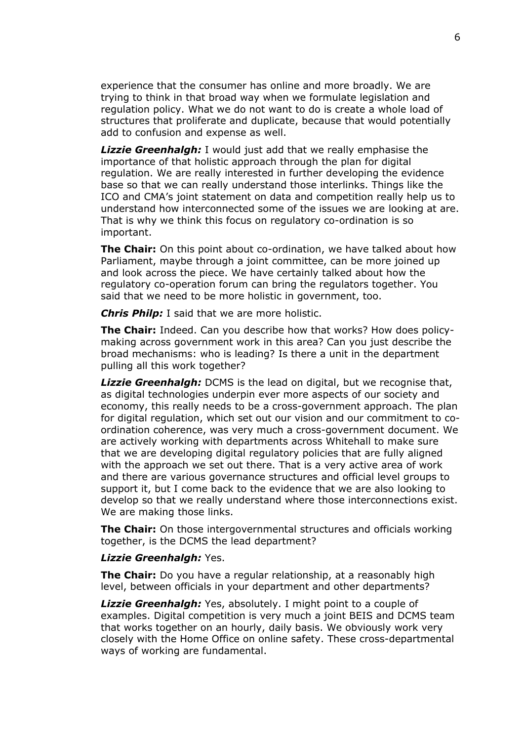experience that the consumer has online and more broadly. We are trying to think in that broad way when we formulate legislation and regulation policy. What we do not want to do is create a whole load of structures that proliferate and duplicate, because that would potentially add to confusion and expense as well.

*Lizzie Greenhalgh:* I would just add that we really emphasise the importance of that holistic approach through the plan for digital regulation. We are really interested in further developing the evidence base so that we can really understand those interlinks. Things like the ICO and CMA's joint statement on data and competition really help us to understand how interconnected some of the issues we are looking at are. That is why we think this focus on regulatory co-ordination is so important.

**The Chair:** On this point about co-ordination, we have talked about how Parliament, maybe through a joint committee, can be more joined up and look across the piece. We have certainly talked about how the regulatory co-operation forum can bring the regulators together. You said that we need to be more holistic in government, too.

*Chris Philp:* I said that we are more holistic.

**The Chair:** Indeed. Can you describe how that works? How does policymaking across government work in this area? Can you just describe the broad mechanisms: who is leading? Is there a unit in the department pulling all this work together?

*Lizzie Greenhalgh:* DCMS is the lead on digital, but we recognise that, as digital technologies underpin ever more aspects of our society and economy, this really needs to be a cross-government approach. The plan for digital regulation, which set out our vision and our commitment to coordination coherence, was very much a cross-government document. We are actively working with departments across Whitehall to make sure that we are developing digital regulatory policies that are fully aligned with the approach we set out there. That is a very active area of work and there are various governance structures and official level groups to support it, but I come back to the evidence that we are also looking to develop so that we really understand where those interconnections exist. We are making those links.

**The Chair:** On those intergovernmental structures and officials working together, is the DCMS the lead department?

#### *Lizzie Greenhalgh:* Yes.

**The Chair:** Do you have a regular relationship, at a reasonably high level, between officials in your department and other departments?

*Lizzie Greenhalgh:* Yes, absolutely. I might point to a couple of examples. Digital competition is very much a joint BEIS and DCMS team that works together on an hourly, daily basis. We obviously work very closely with the Home Office on online safety. These cross-departmental ways of working are fundamental.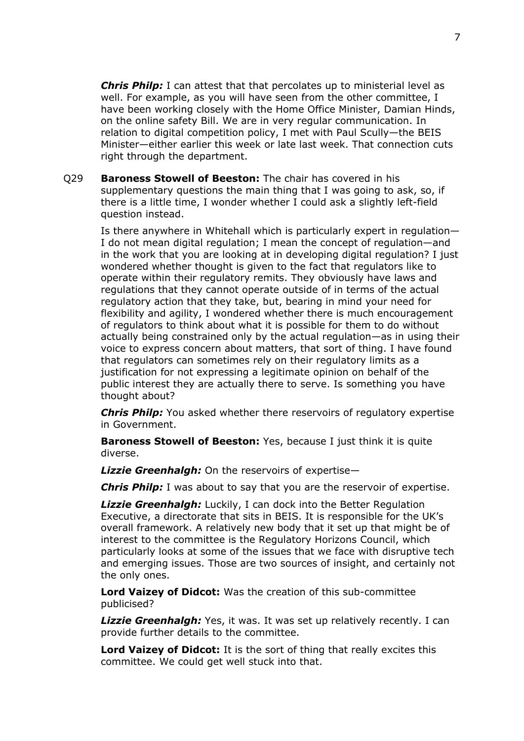*Chris Philp:* I can attest that that percolates up to ministerial level as well. For example, as you will have seen from the other committee, I have been working closely with the Home Office Minister, Damian Hinds, on the online safety Bill. We are in very regular communication. In relation to digital competition policy, I met with Paul Scully—the BEIS Minister—either earlier this week or late last week. That connection cuts right through the department.

Q29 **Baroness Stowell of Beeston:** The chair has covered in his supplementary questions the main thing that I was going to ask, so, if there is a little time, I wonder whether I could ask a slightly left-field question instead.

Is there anywhere in Whitehall which is particularly expert in regulation— I do not mean digital regulation; I mean the concept of regulation—and in the work that you are looking at in developing digital regulation? I just wondered whether thought is given to the fact that regulators like to operate within their regulatory remits. They obviously have laws and regulations that they cannot operate outside of in terms of the actual regulatory action that they take, but, bearing in mind your need for flexibility and agility, I wondered whether there is much encouragement of regulators to think about what it is possible for them to do without actually being constrained only by the actual regulation—as in using their voice to express concern about matters, that sort of thing. I have found that regulators can sometimes rely on their regulatory limits as a justification for not expressing a legitimate opinion on behalf of the public interest they are actually there to serve. Is something you have thought about?

*Chris Philp:* You asked whether there reservoirs of regulatory expertise in Government.

**Baroness Stowell of Beeston:** Yes, because I just think it is quite diverse.

*Lizzie Greenhalgh:* On the reservoirs of expertise—

*Chris Philp:* I was about to say that you are the reservoir of expertise.

*Lizzie Greenhalgh:* Luckily, I can dock into the Better Regulation Executive, a directorate that sits in BEIS. It is responsible for the UK's overall framework. A relatively new body that it set up that might be of interest to the committee is the Regulatory Horizons Council, which particularly looks at some of the issues that we face with disruptive tech and emerging issues. Those are two sources of insight, and certainly not the only ones.

**Lord Vaizey of Didcot:** Was the creation of this sub-committee publicised?

*Lizzie Greenhalgh:* Yes, it was. It was set up relatively recently. I can provide further details to the committee.

**Lord Vaizey of Didcot:** It is the sort of thing that really excites this committee. We could get well stuck into that.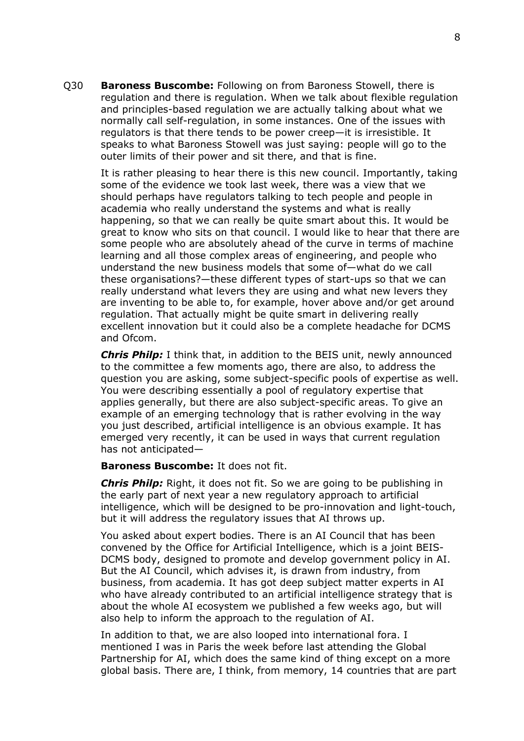Q30 **Baroness Buscombe:** Following on from Baroness Stowell, there is regulation and there is regulation. When we talk about flexible regulation and principles-based regulation we are actually talking about what we normally call self-regulation, in some instances. One of the issues with regulators is that there tends to be power creep—it is irresistible. It speaks to what Baroness Stowell was just saying: people will go to the outer limits of their power and sit there, and that is fine.

It is rather pleasing to hear there is this new council. Importantly, taking some of the evidence we took last week, there was a view that we should perhaps have regulators talking to tech people and people in academia who really understand the systems and what is really happening, so that we can really be quite smart about this. It would be great to know who sits on that council. I would like to hear that there are some people who are absolutely ahead of the curve in terms of machine learning and all those complex areas of engineering, and people who understand the new business models that some of—what do we call these organisations?—these different types of start-ups so that we can really understand what levers they are using and what new levers they are inventing to be able to, for example, hover above and/or get around regulation. That actually might be quite smart in delivering really excellent innovation but it could also be a complete headache for DCMS and Ofcom.

*Chris Philp:* I think that, in addition to the BEIS unit, newly announced to the committee a few moments ago, there are also, to address the question you are asking, some subject-specific pools of expertise as well. You were describing essentially a pool of regulatory expertise that applies generally, but there are also subject-specific areas. To give an example of an emerging technology that is rather evolving in the way you just described, artificial intelligence is an obvious example. It has emerged very recently, it can be used in ways that current regulation has not anticipated—

#### **Baroness Buscombe:** It does not fit.

*Chris Philp:* Right, it does not fit. So we are going to be publishing in the early part of next year a new regulatory approach to artificial intelligence, which will be designed to be pro-innovation and light-touch, but it will address the regulatory issues that AI throws up.

You asked about expert bodies. There is an AI Council that has been convened by the Office for Artificial Intelligence, which is a joint BEIS-DCMS body, designed to promote and develop government policy in AI. But the AI Council, which advises it, is drawn from industry, from business, from academia. It has got deep subject matter experts in AI who have already contributed to an artificial intelligence strategy that is about the whole AI ecosystem we published a few weeks ago, but will also help to inform the approach to the regulation of AI.

In addition to that, we are also looped into international fora. I mentioned I was in Paris the week before last attending the Global Partnership for AI, which does the same kind of thing except on a more global basis. There are, I think, from memory, 14 countries that are part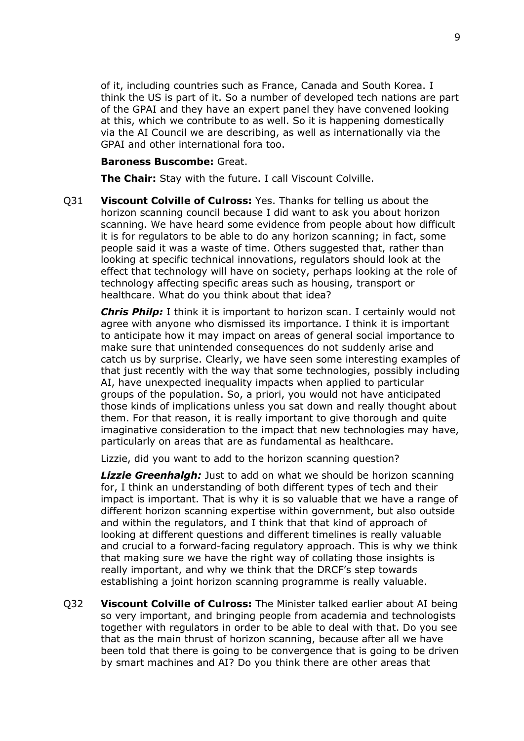of it, including countries such as France, Canada and South Korea. I think the US is part of it. So a number of developed tech nations are part of the GPAI and they have an expert panel they have convened looking at this, which we contribute to as well. So it is happening domestically via the AI Council we are describing, as well as internationally via the GPAI and other international fora too.

#### **Baroness Buscombe:** Great.

**The Chair:** Stay with the future. I call Viscount Colville.

Q31 **Viscount Colville of Culross:** Yes. Thanks for telling us about the horizon scanning council because I did want to ask you about horizon scanning. We have heard some evidence from people about how difficult it is for regulators to be able to do any horizon scanning; in fact, some people said it was a waste of time. Others suggested that, rather than looking at specific technical innovations, regulators should look at the effect that technology will have on society, perhaps looking at the role of technology affecting specific areas such as housing, transport or healthcare. What do you think about that idea?

*Chris Philp:* I think it is important to horizon scan. I certainly would not agree with anyone who dismissed its importance. I think it is important to anticipate how it may impact on areas of general social importance to make sure that unintended consequences do not suddenly arise and catch us by surprise. Clearly, we have seen some interesting examples of that just recently with the way that some technologies, possibly including AI, have unexpected inequality impacts when applied to particular groups of the population. So, a priori, you would not have anticipated those kinds of implications unless you sat down and really thought about them. For that reason, it is really important to give thorough and quite imaginative consideration to the impact that new technologies may have, particularly on areas that are as fundamental as healthcare.

Lizzie, did you want to add to the horizon scanning question?

*Lizzie Greenhalgh:* Just to add on what we should be horizon scanning for, I think an understanding of both different types of tech and their impact is important. That is why it is so valuable that we have a range of different horizon scanning expertise within government, but also outside and within the regulators, and I think that that kind of approach of looking at different questions and different timelines is really valuable and crucial to a forward-facing regulatory approach. This is why we think that making sure we have the right way of collating those insights is really important, and why we think that the DRCF's step towards establishing a joint horizon scanning programme is really valuable.

Q32 **Viscount Colville of Culross:** The Minister talked earlier about AI being so very important, and bringing people from academia and technologists together with regulators in order to be able to deal with that. Do you see that as the main thrust of horizon scanning, because after all we have been told that there is going to be convergence that is going to be driven by smart machines and AI? Do you think there are other areas that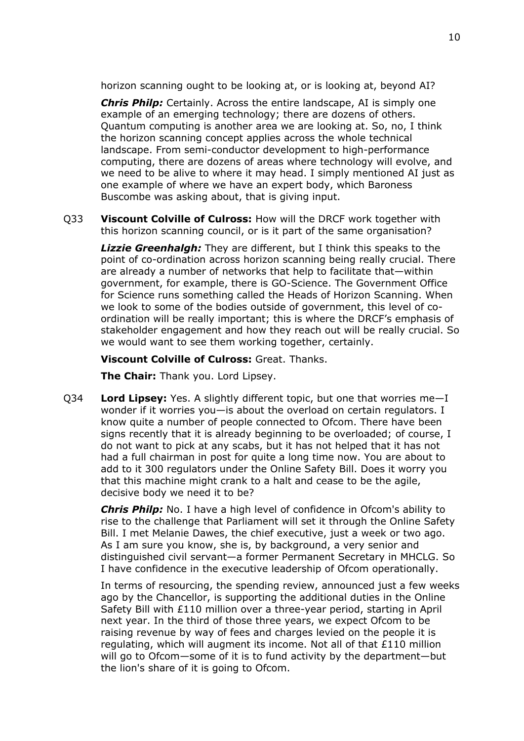horizon scanning ought to be looking at, or is looking at, beyond AI?

*Chris Philp:* Certainly. Across the entire landscape, AI is simply one example of an emerging technology; there are dozens of others. Quantum computing is another area we are looking at. So, no, I think the horizon scanning concept applies across the whole technical landscape. From semi-conductor development to high-performance computing, there are dozens of areas where technology will evolve, and we need to be alive to where it may head. I simply mentioned AI just as one example of where we have an expert body, which Baroness Buscombe was asking about, that is giving input.

Q33 **Viscount Colville of Culross:** How will the DRCF work together with this horizon scanning council, or is it part of the same organisation?

*Lizzie Greenhalgh:* They are different, but I think this speaks to the point of co-ordination across horizon scanning being really crucial. There are already a number of networks that help to facilitate that—within government, for example, there is GO-Science. The Government Office for Science runs something called the Heads of Horizon Scanning. When we look to some of the bodies outside of government, this level of coordination will be really important; this is where the DRCF's emphasis of stakeholder engagement and how they reach out will be really crucial. So we would want to see them working together, certainly.

**Viscount Colville of Culross:** Great. Thanks.

**The Chair:** Thank you. Lord Lipsey.

Q34 **Lord Lipsey:** Yes. A slightly different topic, but one that worries me—I wonder if it worries you—is about the overload on certain regulators. I know quite a number of people connected to Ofcom. There have been signs recently that it is already beginning to be overloaded; of course, I do not want to pick at any scabs, but it has not helped that it has not had a full chairman in post for quite a long time now. You are about to add to it 300 regulators under the Online Safety Bill. Does it worry you that this machine might crank to a halt and cease to be the agile, decisive body we need it to be?

*Chris Philp:* No. I have a high level of confidence in Ofcom's ability to rise to the challenge that Parliament will set it through the Online Safety Bill. I met Melanie Dawes, the chief executive, just a week or two ago. As I am sure you know, she is, by background, a very senior and distinguished civil servant—a former Permanent Secretary in MHCLG. So I have confidence in the executive leadership of Ofcom operationally.

In terms of resourcing, the spending review, announced just a few weeks ago by the Chancellor, is supporting the additional duties in the Online Safety Bill with £110 million over a three-year period, starting in April next year. In the third of those three years, we expect Ofcom to be raising revenue by way of fees and charges levied on the people it is regulating, which will augment its income. Not all of that £110 million will go to Ofcom—some of it is to fund activity by the department—but the lion's share of it is going to Ofcom.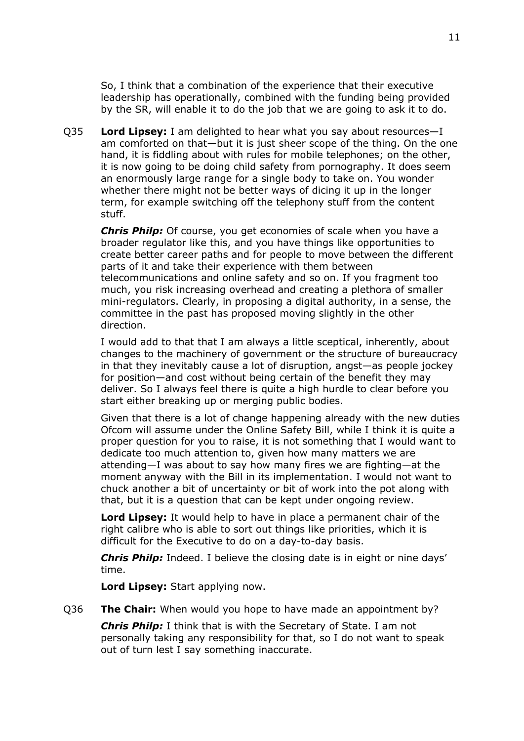So, I think that a combination of the experience that their executive leadership has operationally, combined with the funding being provided by the SR, will enable it to do the job that we are going to ask it to do.

Q35 **Lord Lipsey:** I am delighted to hear what you say about resources—I am comforted on that—but it is just sheer scope of the thing. On the one hand, it is fiddling about with rules for mobile telephones; on the other, it is now going to be doing child safety from pornography. It does seem an enormously large range for a single body to take on. You wonder whether there might not be better ways of dicing it up in the longer term, for example switching off the telephony stuff from the content stuff.

*Chris Philp:* Of course, you get economies of scale when you have a broader regulator like this, and you have things like opportunities to create better career paths and for people to move between the different parts of it and take their experience with them between telecommunications and online safety and so on. If you fragment too much, you risk increasing overhead and creating a plethora of smaller mini-regulators. Clearly, in proposing a digital authority, in a sense, the committee in the past has proposed moving slightly in the other direction.

I would add to that that I am always a little sceptical, inherently, about changes to the machinery of government or the structure of bureaucracy in that they inevitably cause a lot of disruption, angst—as people jockey for position—and cost without being certain of the benefit they may deliver. So I always feel there is quite a high hurdle to clear before you start either breaking up or merging public bodies.

Given that there is a lot of change happening already with the new duties Ofcom will assume under the Online Safety Bill, while I think it is quite a proper question for you to raise, it is not something that I would want to dedicate too much attention to, given how many matters we are attending—I was about to say how many fires we are fighting—at the moment anyway with the Bill in its implementation. I would not want to chuck another a bit of uncertainty or bit of work into the pot along with that, but it is a question that can be kept under ongoing review.

**Lord Lipsey:** It would help to have in place a permanent chair of the right calibre who is able to sort out things like priorities, which it is difficult for the Executive to do on a day-to-day basis.

*Chris Philp:* Indeed. I believe the closing date is in eight or nine days' time.

**Lord Lipsey:** Start applying now.

Q36 **The Chair:** When would you hope to have made an appointment by?

*Chris Philp:* I think that is with the Secretary of State. I am not personally taking any responsibility for that, so I do not want to speak out of turn lest I say something inaccurate.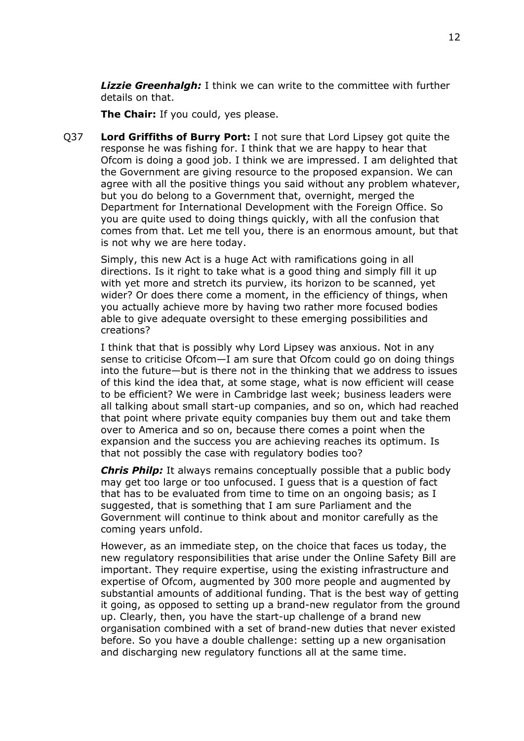*Lizzie Greenhalgh:* I think we can write to the committee with further details on that.

**The Chair:** If you could, yes please.

Q37 **Lord Griffiths of Burry Port:** I not sure that Lord Lipsey got quite the response he was fishing for. I think that we are happy to hear that Ofcom is doing a good job. I think we are impressed. I am delighted that the Government are giving resource to the proposed expansion. We can agree with all the positive things you said without any problem whatever, but you do belong to a Government that, overnight, merged the Department for International Development with the Foreign Office. So you are quite used to doing things quickly, with all the confusion that comes from that. Let me tell you, there is an enormous amount, but that is not why we are here today.

Simply, this new Act is a huge Act with ramifications going in all directions. Is it right to take what is a good thing and simply fill it up with yet more and stretch its purview, its horizon to be scanned, yet wider? Or does there come a moment, in the efficiency of things, when you actually achieve more by having two rather more focused bodies able to give adequate oversight to these emerging possibilities and creations?

I think that that is possibly why Lord Lipsey was anxious. Not in any sense to criticise Ofcom—I am sure that Ofcom could go on doing things into the future—but is there not in the thinking that we address to issues of this kind the idea that, at some stage, what is now efficient will cease to be efficient? We were in Cambridge last week; business leaders were all talking about small start-up companies, and so on, which had reached that point where private equity companies buy them out and take them over to America and so on, because there comes a point when the expansion and the success you are achieving reaches its optimum. Is that not possibly the case with regulatory bodies too?

*Chris Philp:* It always remains conceptually possible that a public body may get too large or too unfocused. I guess that is a question of fact that has to be evaluated from time to time on an ongoing basis; as I suggested, that is something that I am sure Parliament and the Government will continue to think about and monitor carefully as the coming years unfold.

However, as an immediate step, on the choice that faces us today, the new regulatory responsibilities that arise under the Online Safety Bill are important. They require expertise, using the existing infrastructure and expertise of Ofcom, augmented by 300 more people and augmented by substantial amounts of additional funding. That is the best way of getting it going, as opposed to setting up a brand-new regulator from the ground up. Clearly, then, you have the start-up challenge of a brand new organisation combined with a set of brand-new duties that never existed before. So you have a double challenge: setting up a new organisation and discharging new regulatory functions all at the same time.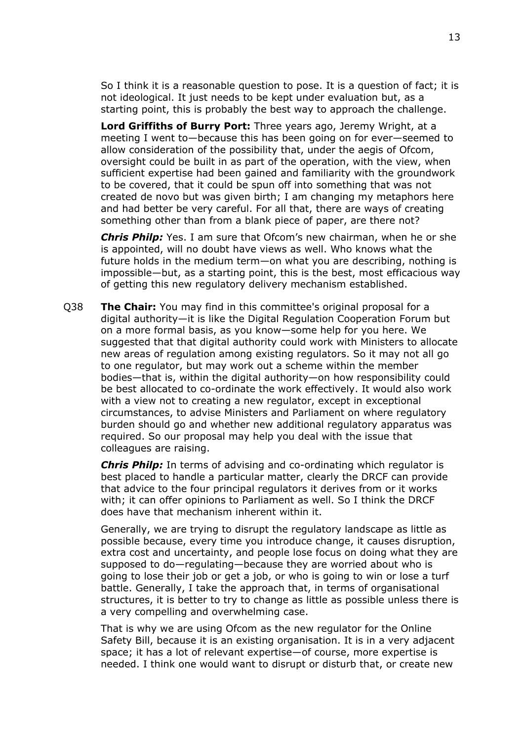So I think it is a reasonable question to pose. It is a question of fact; it is not ideological. It just needs to be kept under evaluation but, as a starting point, this is probably the best way to approach the challenge.

**Lord Griffiths of Burry Port:** Three years ago, Jeremy Wright, at a meeting I went to—because this has been going on for ever—seemed to allow consideration of the possibility that, under the aegis of Ofcom, oversight could be built in as part of the operation, with the view, when sufficient expertise had been gained and familiarity with the groundwork to be covered, that it could be spun off into something that was not created de novo but was given birth; I am changing my metaphors here and had better be very careful. For all that, there are ways of creating something other than from a blank piece of paper, are there not?

*Chris Philp:* Yes. I am sure that Ofcom's new chairman, when he or she is appointed, will no doubt have views as well. Who knows what the future holds in the medium term—on what you are describing, nothing is impossible—but, as a starting point, this is the best, most efficacious way of getting this new regulatory delivery mechanism established.

Q38 **The Chair:** You may find in this committee's original proposal for a digital authority—it is like the Digital Regulation Cooperation Forum but on a more formal basis, as you know—some help for you here. We suggested that that digital authority could work with Ministers to allocate new areas of regulation among existing regulators. So it may not all go to one regulator, but may work out a scheme within the member bodies—that is, within the digital authority—on how responsibility could be best allocated to co-ordinate the work effectively. It would also work with a view not to creating a new regulator, except in exceptional circumstances, to advise Ministers and Parliament on where regulatory burden should go and whether new additional regulatory apparatus was required. So our proposal may help you deal with the issue that colleagues are raising.

*Chris Philp:* In terms of advising and co-ordinating which regulator is best placed to handle a particular matter, clearly the DRCF can provide that advice to the four principal regulators it derives from or it works with; it can offer opinions to Parliament as well. So I think the DRCF does have that mechanism inherent within it.

Generally, we are trying to disrupt the regulatory landscape as little as possible because, every time you introduce change, it causes disruption, extra cost and uncertainty, and people lose focus on doing what they are supposed to do—regulating—because they are worried about who is going to lose their job or get a job, or who is going to win or lose a turf battle. Generally, I take the approach that, in terms of organisational structures, it is better to try to change as little as possible unless there is a very compelling and overwhelming case.

That is why we are using Ofcom as the new regulator for the Online Safety Bill, because it is an existing organisation. It is in a very adjacent space; it has a lot of relevant expertise—of course, more expertise is needed. I think one would want to disrupt or disturb that, or create new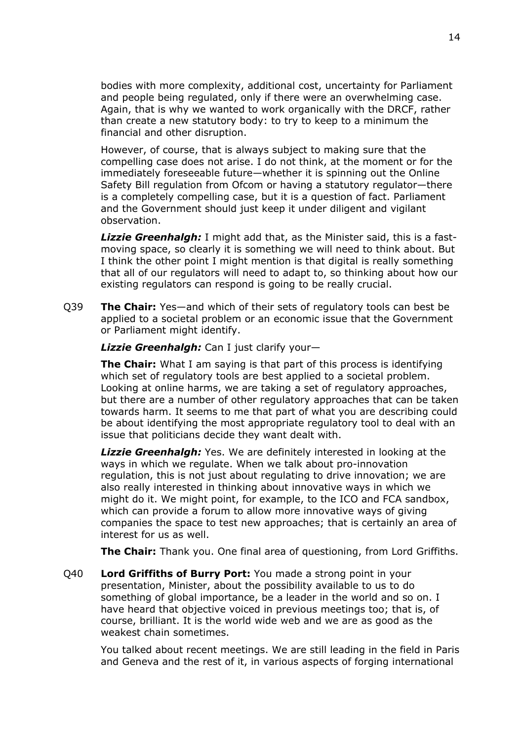bodies with more complexity, additional cost, uncertainty for Parliament and people being regulated, only if there were an overwhelming case. Again, that is why we wanted to work organically with the DRCF, rather than create a new statutory body: to try to keep to a minimum the financial and other disruption.

However, of course, that is always subject to making sure that the compelling case does not arise. I do not think, at the moment or for the immediately foreseeable future—whether it is spinning out the Online Safety Bill regulation from Ofcom or having a statutory regulator—there is a completely compelling case, but it is a question of fact. Parliament and the Government should just keep it under diligent and vigilant observation.

*Lizzie Greenhalgh:* I might add that, as the Minister said, this is a fastmoving space, so clearly it is something we will need to think about. But I think the other point I might mention is that digital is really something that all of our regulators will need to adapt to, so thinking about how our existing regulators can respond is going to be really crucial.

Q39 **The Chair:** Yes—and which of their sets of regulatory tools can best be applied to a societal problem or an economic issue that the Government or Parliament might identify.

*Lizzie Greenhalgh:* Can I just clarify your—

**The Chair:** What I am saying is that part of this process is identifying which set of regulatory tools are best applied to a societal problem. Looking at online harms, we are taking a set of regulatory approaches, but there are a number of other regulatory approaches that can be taken towards harm. It seems to me that part of what you are describing could be about identifying the most appropriate regulatory tool to deal with an issue that politicians decide they want dealt with.

*Lizzie Greenhalgh:* Yes. We are definitely interested in looking at the ways in which we regulate. When we talk about pro-innovation regulation, this is not just about regulating to drive innovation; we are also really interested in thinking about innovative ways in which we might do it. We might point, for example, to the ICO and FCA sandbox, which can provide a forum to allow more innovative ways of giving companies the space to test new approaches; that is certainly an area of interest for us as well.

**The Chair:** Thank you. One final area of questioning, from Lord Griffiths.

Q40 **Lord Griffiths of Burry Port:** You made a strong point in your presentation, Minister, about the possibility available to us to do something of global importance, be a leader in the world and so on. I have heard that objective voiced in previous meetings too; that is, of course, brilliant. It is the world wide web and we are as good as the weakest chain sometimes.

You talked about recent meetings. We are still leading in the field in Paris and Geneva and the rest of it, in various aspects of forging international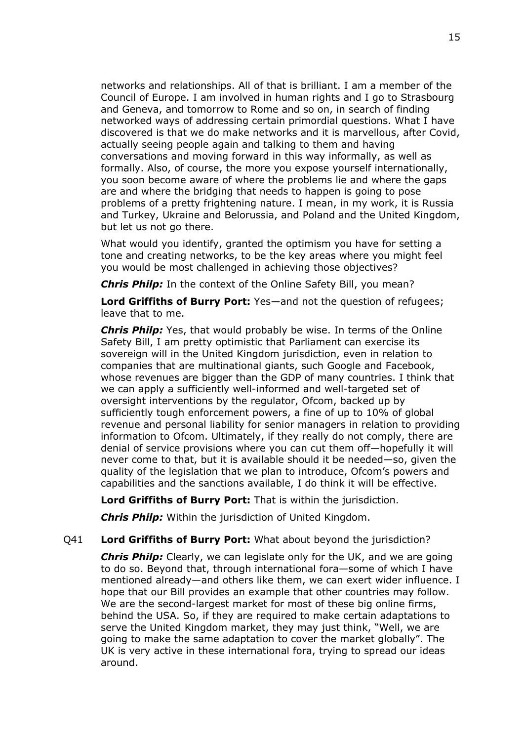networks and relationships. All of that is brilliant. I am a member of the Council of Europe. I am involved in human rights and I go to Strasbourg and Geneva, and tomorrow to Rome and so on, in search of finding networked ways of addressing certain primordial questions. What I have discovered is that we do make networks and it is marvellous, after Covid, actually seeing people again and talking to them and having conversations and moving forward in this way informally, as well as formally. Also, of course, the more you expose yourself internationally, you soon become aware of where the problems lie and where the gaps are and where the bridging that needs to happen is going to pose problems of a pretty frightening nature. I mean, in my work, it is Russia and Turkey, Ukraine and Belorussia, and Poland and the United Kingdom, but let us not go there.

What would you identify, granted the optimism you have for setting a tone and creating networks, to be the key areas where you might feel you would be most challenged in achieving those objectives?

*Chris Philp:* In the context of the Online Safety Bill, you mean?

**Lord Griffiths of Burry Port:** Yes—and not the question of refugees; leave that to me.

*Chris Philp:* Yes, that would probably be wise. In terms of the Online Safety Bill, I am pretty optimistic that Parliament can exercise its sovereign will in the United Kingdom jurisdiction, even in relation to companies that are multinational giants, such Google and Facebook, whose revenues are bigger than the GDP of many countries. I think that we can apply a sufficiently well-informed and well-targeted set of oversight interventions by the regulator, Ofcom, backed up by sufficiently tough enforcement powers, a fine of up to 10% of global revenue and personal liability for senior managers in relation to providing information to Ofcom. Ultimately, if they really do not comply, there are denial of service provisions where you can cut them off—hopefully it will never come to that, but it is available should it be needed—so, given the quality of the legislation that we plan to introduce, Ofcom's powers and capabilities and the sanctions available, I do think it will be effective.

**Lord Griffiths of Burry Port:** That is within the jurisdiction.

*Chris Philp:* Within the jurisdiction of United Kingdom.

#### Q41 **Lord Griffiths of Burry Port:** What about beyond the jurisdiction?

*Chris Philp:* Clearly, we can legislate only for the UK, and we are going to do so. Beyond that, through international fora—some of which I have mentioned already—and others like them, we can exert wider influence. I hope that our Bill provides an example that other countries may follow. We are the second-largest market for most of these big online firms, behind the USA. So, if they are required to make certain adaptations to serve the United Kingdom market, they may just think, "Well, we are going to make the same adaptation to cover the market globally". The UK is very active in these international fora, trying to spread our ideas around.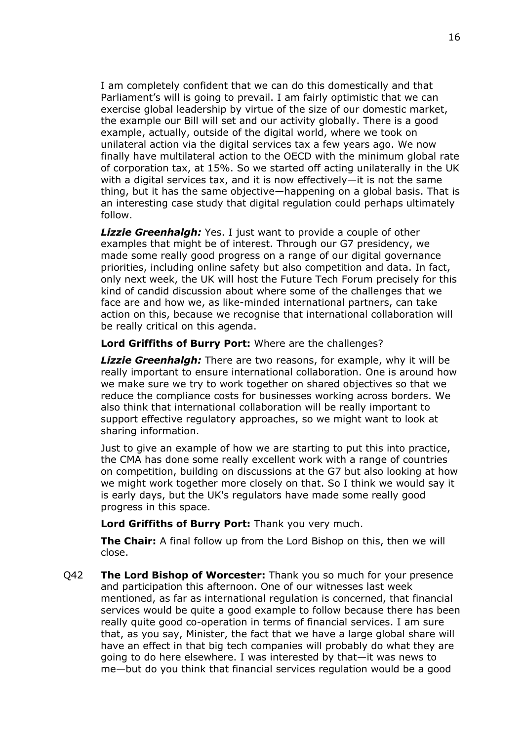I am completely confident that we can do this domestically and that Parliament's will is going to prevail. I am fairly optimistic that we can exercise global leadership by virtue of the size of our domestic market, the example our Bill will set and our activity globally. There is a good example, actually, outside of the digital world, where we took on unilateral action via the digital services tax a few years ago. We now finally have multilateral action to the OECD with the minimum global rate of corporation tax, at 15%. So we started off acting unilaterally in the UK with a digital services tax, and it is now effectively—it is not the same thing, but it has the same objective—happening on a global basis. That is an interesting case study that digital regulation could perhaps ultimately follow.

*Lizzie Greenhalgh:* Yes. I just want to provide a couple of other examples that might be of interest. Through our G7 presidency, we made some really good progress on a range of our digital governance priorities, including online safety but also competition and data. In fact, only next week, the UK will host the Future Tech Forum precisely for this kind of candid discussion about where some of the challenges that we face are and how we, as like-minded international partners, can take action on this, because we recognise that international collaboration will be really critical on this agenda.

### **Lord Griffiths of Burry Port:** Where are the challenges?

*Lizzie Greenhalgh:* There are two reasons, for example, why it will be really important to ensure international collaboration. One is around how we make sure we try to work together on shared objectives so that we reduce the compliance costs for businesses working across borders. We also think that international collaboration will be really important to support effective regulatory approaches, so we might want to look at sharing information.

Just to give an example of how we are starting to put this into practice, the CMA has done some really excellent work with a range of countries on competition, building on discussions at the G7 but also looking at how we might work together more closely on that. So I think we would say it is early days, but the UK's regulators have made some really good progress in this space.

**Lord Griffiths of Burry Port:** Thank you very much.

**The Chair:** A final follow up from the Lord Bishop on this, then we will close.

Q42 **The Lord Bishop of Worcester:** Thank you so much for your presence and participation this afternoon. One of our witnesses last week mentioned, as far as international regulation is concerned, that financial services would be quite a good example to follow because there has been really quite good co-operation in terms of financial services. I am sure that, as you say, Minister, the fact that we have a large global share will have an effect in that big tech companies will probably do what they are going to do here elsewhere. I was interested by that—it was news to me—but do you think that financial services regulation would be a good